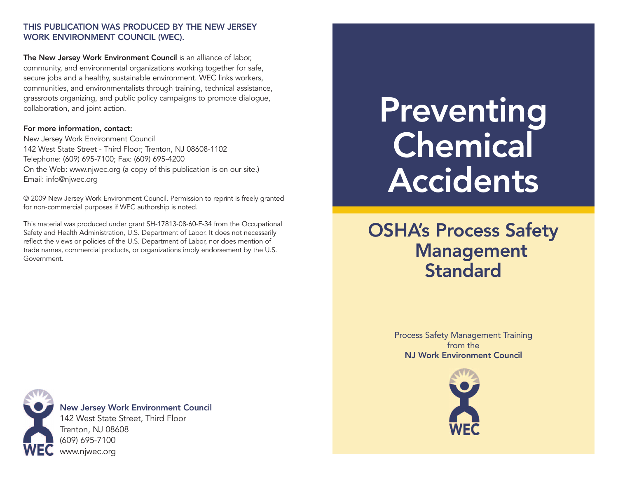#### **THIS PUBLICATION WAS PRODUCED BY THE NEW JERSEY WORK ENVIRONMENT COUNCIL (WEC).**

**The New Jersey Work Environment Council** is an alliance of labor, community, and environmental organizations working together for safe, secure jobs and a healthy, sustainable environment. WEC links workers, communities, and environmentalists through training, technical assistance, grassroots organizing, and public policy campaigns to promote dialogue, collaboration, and joint action.

#### **For more information, contact:**

New Jersey Work Environment Council 142 West State Street - Third Floor; Trenton, NJ 08608-1102 Telephone: (609) 695-7100; Fax: (609) 695-4200 On the Web: www.njwec.org (a copy of this publication is on our site.) Email: info@njwec.org

© 2009 New Jersey Work Environment Council. Permission to reprint is freely granted for non-commercial purposes if WEC authorship is noted.

This material was produced under grant SH-17813-08-60-F-34 from the Occupational Safety and Health Administration, U.S. Department of Labor. It does not necessarily reflect the views or policies of the U.S. Department of Labor, nor does mention of trade names, commercial products, or organizations imply endorsement by the U.S. Government.

# **Preventing Chemical Accidents**

# **OSHA's Process Safety Management Standard**

Process Safety Management Training from the **NJ Work Environment Council**





#### **New Jersey Work Environment Council**

142 West State Street, Third Floor Trenton, NJ 08608 (609) 695-7100 www.njwec.org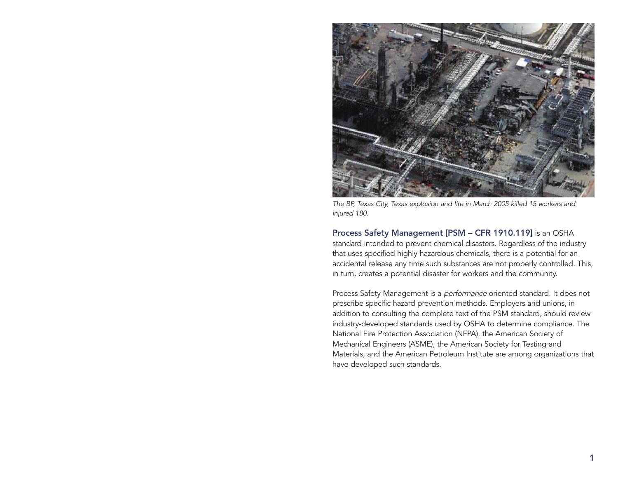

The BP, Texas City, Texas explosion and fire in March 2005 killed 15 workers and injured 180.

**Process Safety Management [PSM – CFR 1910.119]** is an OSHA standard intended to prevent chemical disasters. Regardless of the industry that uses specified highly hazardous chemicals, there is a potential for an accidental release any time such substances are not properly controlled. This, in turn, creates a potential disaster for workers and the community.

Process Safety Management is a *performance* oriented standard. It does not prescribe specific hazard prevention methods. Employers and unions, in addition to consulting the complete text of the PSM standard, should review industry-developed standards used by OSHA to determine compliance. The National Fire Protection Association (NFPA), the American Society of Mechanical Engineers (ASME), the American Society for Testing and Materials, and the American Petroleum Institute are among organizations that have developed such standards.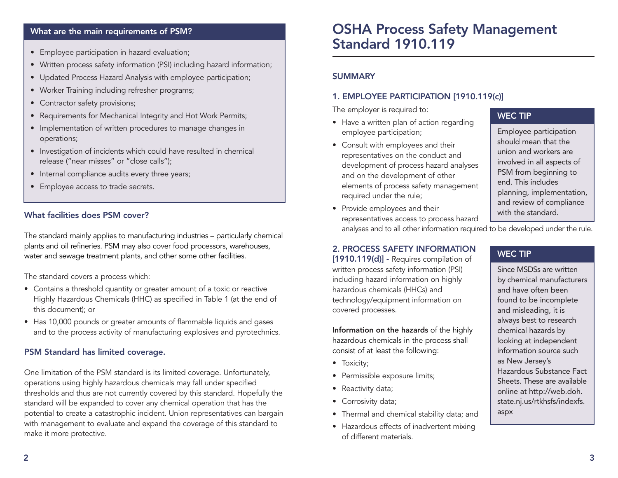#### **What are the main requirements of PSM?**

- Employee participation in hazard evaluation;
- Written process safety information (PSI) including hazard information;
- Updated Process Hazard Analysis with employee participation;
- Worker Training including refresher programs;
- Contractor safety provisions;
- Requirements for Mechanical Integrity and Hot Work Permits;
- Implementation of written procedures to manage changes in operations;
- Investigation of incidents which could have resulted in chemical release ("near misses" or "close calls");
- Internal compliance audits every three years;
- Employee access to trade secrets.

#### **What facilities does PSM cover?**

The standard mainly applies to manufacturing industries – particularly chemical plants and oil refineries. PSM may also cover food processors, warehouses, water and sewage treatment plants, and other some other facilities.

The standard covers a process which:

- Contains a threshold quantity or greater amount of a toxic or reactive Highly Hazardous Chemicals (HHC) as specified in Table 1 (at the end of this document); or
- Has 10,000 pounds or greater amounts of flammable liquids and gases and to the process activity of manufacturing explosives and pyrotechnics.

#### **PSM Standard has limited coverage.**

One limitation of the PSM standard is its limited coverage. Unfortunately, operations using highly hazardous chemicals may fall under specified thresholds and thus are not currently covered by this standard. Hopefully the standard will be expanded to cover any chemical operation that has the potential to create a catastrophic incident. Union representatives can bargain with management to evaluate and expand the coverage of this standard to make it more protective.

### **OSHA Process Safety Management Standard 1910.119**

#### **SUMMARY**

#### **1. EMPLOYEE PARTICIPATION [1910.119(c)]**

The employer is required to:

- Have a written plan of action regarding employee participation;
- Consult with employees and their representatives on the conduct and development of process hazard analyses and on the development of other elements of process safety management required under the rule;
- Provide employees and their representatives access to process hazard analyses and to all other information required to be developed under the rule.

#### **WEC TIP**

Employee participation should mean that the union and workers are involved in all aspects of PSM from beginning to end. This includes planning, implementation, and review of compliance with the standard.

#### **2. PROCESS SAFETY INFORMATION**

**[1910.119(d)] -** Requires compilation of written process safety information (PSI) including hazard information on highly hazardous chemicals (HHCs) and technology/equipment information on covered processes.

**Information on the hazards** of the highly hazardous chemicals in the process shall consist of at least the following:

- Toxicity;
- Permissible exposure limits;
- Reactivity data;
- Corrosivity data;
- Thermal and chemical stability data; and
- Hazardous effects of inadvertent mixing of different materials.

#### **WEC TIP**

Since MSDSs are written by chemical manufacturers and have often been found to be incomplete and misleading, it is always best to research chemical hazards by looking at independent information source such as New Jersey's Hazardous Substance Fact Sheets. These are available online at http://web.doh. state.nj.us/rtkhsfs/indexfs. aspx

**2**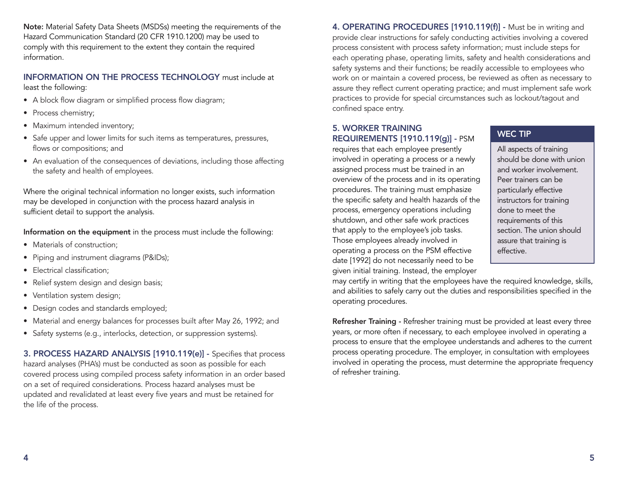**Note:** Material Safety Data Sheets (MSDSs) meeting the requirements of the Hazard Communication Standard (20 CFR 1910.1200) may be used to comply with this requirement to the extent they contain the required information.

#### **INFORMATION ON THE PROCESS TECHNOLOGY** must include at least the following:

- A block flow diagram or simplified process flow diagram;
- Process chemistry;
- Maximum intended inventory;
- Safe upper and lower limits for such items as temperatures, pressures, flows or compositions; and
- An evaluation of the consequences of deviations, including those affecting the safety and health of employees.

Where the original technical information no longer exists, such information may be developed in conjunction with the process hazard analysis in sufficient detail to support the analysis.

#### **Information on the equipment** in the process must include the following:

- Materials of construction;
- Piping and instrument diagrams (P&IDs);
- Electrical classification;
- Relief system design and design basis;
- Ventilation system design;
- Design codes and standards employed;
- Material and energy balances for processes built after May 26, 1992; and
- Safety systems (e.g., interlocks, detection, or suppression systems).

**3. PROCESS HAZARD ANALYSIS [1910.119(e)] -** Specifies that process hazard analyses (PHA's) must be conducted as soon as possible for each covered process using compiled process safety information in an order based on a set of required considerations. Process hazard analyses must be updated and revalidated at least every five years and must be retained for the life of the process.

**4. OPERATING PROCEDURES [1910.119(f)] -** Must be in writing and provide clear instructions for safely conducting activities involving a covered process consistent with process safety information; must include steps for each operating phase, operating limits, safety and health considerations and safety systems and their functions; be readily accessible to employees who work on or maintain a covered process, be reviewed as often as necessary to assure they reflect current operating practice; and must implement safe work practices to provide for special circumstances such as lockout/tagout and confined space entry.

#### **5. WORKER TRAINING REQUIREMENTS [1910.119(g)] -** PSM

requires that each employee presently involved in operating a process or a newly assigned process must be trained in an overview of the process and in its operating procedures. The training must emphasize the specific safety and health hazards of the process, emergency operations including shutdown, and other safe work practices that apply to the employee's job tasks. Those employees already involved in operating a process on the PSM effective date [1992] do not necessarily need to be given initial training. Instead, the employer

may certify in writing that the employees have the required knowledge, skills, and abilities to safely carry out the duties and responsibilities specified in the operating procedures.

**Refresher Training -** Refresher training must be provided at least every three years, or more often if necessary, to each employee involved in operating a process to ensure that the employee understands and adheres to the current process operating procedure. The employer, in consultation with employees involved in operating the process, must determine the appropriate frequency of refresher training.

#### **WEC TIP**

All aspects of training should be done with union and worker involvement. Peer trainers can be particularly effective instructors for training done to meet the requirements of this section. The union should assure that training is effective.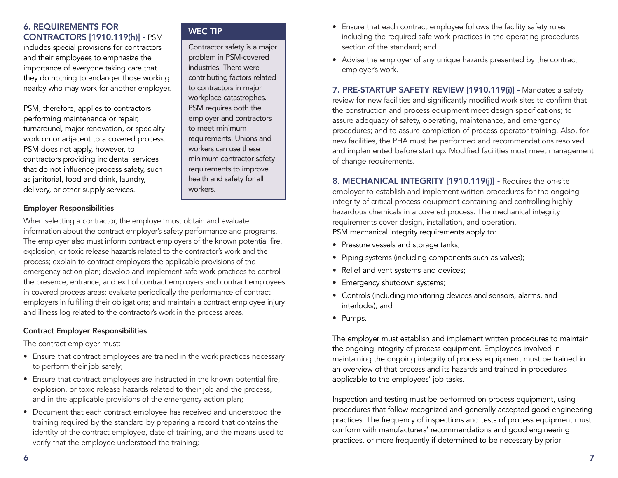#### **6. REQUIREMENTS FOR CONTRACTORS [1910.119(h)] -** PSM

includes special provisions for contractors and their employees to emphasize the importance of everyone taking care that they do nothing to endanger those working nearby who may work for another employer.

PSM, therefore, applies to contractors performing maintenance or repair, turnaround, major renovation, or specialty work on or adjacent to a covered process. PSM does not apply, however, to contractors providing incidental services that do not influence process safety, such as janitorial, food and drink, laundry, delivery, or other supply services.

#### **Employer Responsibilities**

When selecting a contractor, the employer must obtain and evaluate information about the contract employer's safety performance and programs. The employer also must inform contract employers of the known potential fire, explosion, or toxic release hazards related to the contractor's work and the process; explain to contract employers the applicable provisions of the emergency action plan; develop and implement safe work practices to control the presence, entrance, and exit of contract employers and contract employees in covered process areas; evaluate periodically the performance of contract employers in fulfilling their obligations; and maintain a contract employee injury and illness log related to the contractor's work in the process areas.

#### **Contract Employer Responsibilities**

The contract employer must:

- Ensure that contract employees are trained in the work practices necessary to perform their job safely;
- Ensure that contract employees are instructed in the known potential fire, explosion, or toxic release hazards related to their job and the process, and in the applicable provisions of the emergency action plan;
- Document that each contract employee has received and understood the training required by the standard by preparing a record that contains the identity of the contract employee, date of training, and the means used to verify that the employee understood the training;

#### **WEC TIP**

Contractor safety is a major problem in PSM-covered industries. There were contributing factors related to contractors in major workplace catastrophes. PSM requires both the employer and contractors to meet minimum requirements. Unions and workers can use these minimum contractor safety requirements to improve health and safety for all workers.

- Ensure that each contract employee follows the facility safety rules including the required safe work practices in the operating procedures section of the standard; and
- Advise the employer of any unique hazards presented by the contract employer's work.

**7. PRE-STARTUP SAFETY REVIEW [1910.119(i)] -** Mandates a safety review for new facilities and significantly modified work sites to confirm that the construction and process equipment meet design specifications; to assure adequacy of safety, operating, maintenance, and emergency procedures; and to assure completion of process operator training. Also, for new facilities, the PHA must be performed and recommendations resolved and implemented before start up. Modified facilities must meet management of change requirements.

**8. MECHANICAL INTEGRITY [1910.119(j)] -** Requires the on-site employer to establish and implement written procedures for the ongoing integrity of critical process equipment containing and controlling highly hazardous chemicals in a covered process. The mechanical integrity requirements cover design, installation, and operation. PSM mechanical integrity requirements apply to:

- Pressure vessels and storage tanks;
- Piping systems (including components such as valves);
- Relief and vent systems and devices;
- Emergency shutdown systems;
- Controls (including monitoring devices and sensors, alarms, and interlocks); and
- Pumps.

The employer must establish and implement written procedures to maintain the ongoing integrity of process equipment. Employees involved in maintaining the ongoing integrity of process equipment must be trained in an overview of that process and its hazards and trained in procedures applicable to the employees' job tasks.

Inspection and testing must be performed on process equipment, using procedures that follow recognized and generally accepted good engineering practices. The frequency of inspections and tests of process equipment must conform with manufacturers' recommendations and good engineering practices, or more frequently if determined to be necessary by prior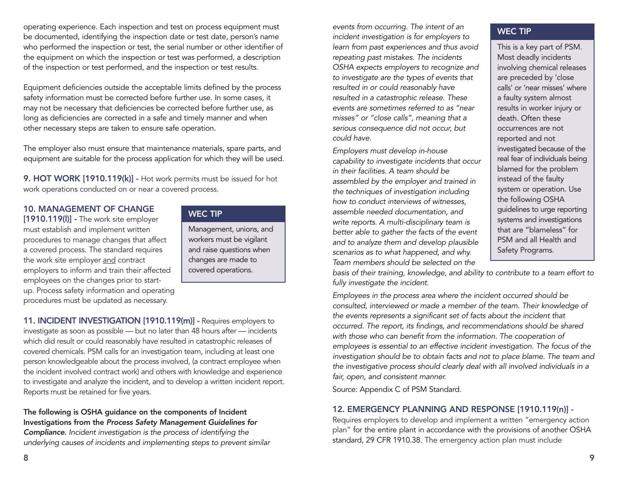operating experience. Each inspection and test on process equipment must be documented, identifying the inspection date or test date, person's name who performed the inspection or test, the serial number or other identifier of the equipment on which the inspection or test was performed, a description of the inspection or test performed, and the inspection or test results.

Equipment deficiencies outside the acceptable limits defined by the process safety information must be corrected before further use. In some cases, it may not be necessary that deficiencies be corrected before further use, as long as deficiencies are corrected in a safe and timely manner and when other necessary steps are taken to ensure safe operation.

The employer also must ensure that maintenance materials, spare parts, and equipment are suitable for the process application for which they will be used.

**9. HOT WORK [1910.119(k)] -** Hot work permits must be issued for hot work operations conducted on or near a covered process.

#### **10. MANAGEMENT OF CHANGE**

**[1910.119(l)] -** The work site employer must establish and implement written procedures to manage changes that affect a covered process. The standard requires the work site employer and contract employers to inform and train their affected employees on the changes prior to startup. Process safety information and operating procedures must be updated as necessary.

#### **WEC TIP**

Management, unions, and workers must be vigilant and raise questions when changes are made to covered operations.

**11. INCIDENT INVESTIGATION [1910.119(m)] -** Requires employers to investigate as soon as possible — but no later than 48 hours after — incidents which did result or could reasonably have resulted in catastrophic releases of covered chemicals. PSM calls for an investigation team, including at least one person knowledgeable about the process involved, (a contract employee when the incident involved contract work) and others with knowledge and experience to investigate and analyze the incident, and to develop a written incident report. Reports must be retained for five years.

**The following is OSHA guidance on the components of Incident Investigations from the** *Process Safety Management Guidelines for*

*Compliance***.** Incident investigation is the process of identifying the underlying causes of incidents and implementing steps to prevent similar

events from occurring. The intent of an incident investigation is for employers to learn from past experiences and thus avoid repeating past mistakes. The incidents OSHA expects employers to recognize and to investigate are the types of events that resulted in or could reasonably have resulted in a catastrophic release. These events are sometimes referred to as "near misses" or "close calls", meaning that a serious consequence did not occur, but could have.

Employers must develop in-house capability to investigate incidents that occur in their facilities. A team should be assembled by the employer and trained in the techniques of investigation including how to conduct interviews of witnesses, assemble needed documentation, and write reports. A multi-disciplinary team is better able to gather the facts of the event and to analyze them and develop plausible scenarios as to what happened, and why. Team members should be selected on the

**WEC TIP**

This is a key part of PSM. Most deadly incidents involving chemical releases are preceded by 'close calls' or 'near misses' where a faulty system almost results in worker injury or death. Often these occurrences are not reported and not investigated because of the real fear of individuals being blamed for the problem instead of the faulty system or operation. Use the following OSHA guidelines to urge reporting systems and investigations that are "blameless" for PSM and all Health and Safety Programs.

basis of their training, knowledge, and ability to contribute to a team effort to fully investigate the incident.

Employees in the process area where the incident occurred should be consulted, interviewed or made a member of the team. Their knowledge of the events represents a significant set of facts about the incident that occurred. The report, its findings, and recommendations should be shared with those who can benefit from the information. The cooperation of employees is essential to an effective incident investigation. The focus of the investigation should be to obtain facts and not to place blame. The team and the investigative process should clearly deal with all involved individuals in a fair, open, and consistent manner.

Source: Appendix C of PSM Standard.

#### **12. EMERGENCY PLANNING AND RESPONSE [1910.119(n)] -**

Requires employers to develop and implement a written "emergency action plan" for the entire plant in accordance with the provisions of another OSHA standard, 29 CFR 1910.38. The emergency action plan must include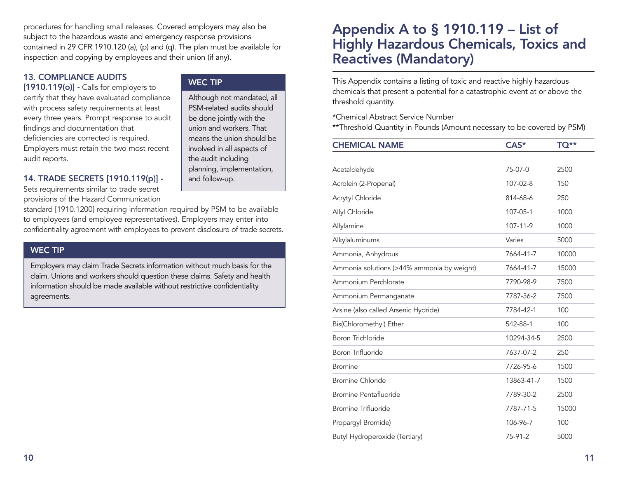procedures for handling small releases. Covered employers may also be subject to the hazardous waste and emergency response provisions contained in 29 CFR 1910.120 (a), (p) and (q). The plan must be available for inspection and copying by employees and their union (if any).

#### **13. COMPLIANCE AUDITS**

**[1910.119(o)] -** Calls for employers to certify that they have evaluated compliance with process safety requirements at least every three years. Prompt response to audit findings and documentation that deficiencies are corrected is required. Employers must retain the two most recent audit reports.

#### **14. TRADE SECRETS [1910.119(p)] -**

Sets requirements similar to trade secret provisions of the Hazard Communication

standard [1910.1200] requiring information required by PSM to be available to employees (and employee representatives). Employers may enter into confidentiality agreement with employees to prevent disclosure of trade secrets.

#### **WEC TIP**

Employers may claim Trade Secrets information without much basis for the claim. Unions and workers should question these claims. Safety and health information should be made available without restrictive confidentiality agreements.

#### **WEC TIP**

Although not mandated, all PSM-related audits should be done jointly with the union and workers. That means the union should be involved in all aspects of the audit including planning, implementation, and follow-up.

## **Appendix A to § 1910.119 – List of Highly Hazardous Chemicals, Toxics and Reactives (Mandatory)**

This Appendix contains a listing of toxic and reactive highly hazardous chemicals that present a potential for a catastrophic event at or above the threshold quantity.

\*Chemical Abstract Service Number

\*\*Threshold Quantity in Pounds (Amount necessary to be covered by PSM)

| <b>CHEMICAL NAME</b>                       | $CAS^*$        | TQ**  |
|--------------------------------------------|----------------|-------|
|                                            |                |       |
| Acetaldehyde                               | 75-07-0        | 2500  |
| Acrolein (2-Propenal)                      | 107-02-8       | 150   |
| Acrytyl Chloride                           | 814-68-6       | 250   |
| Allyl Chloride                             | 107-05-1       | 1000  |
| Allylamine                                 | $107 - 11 - 9$ | 1000  |
| Alkylaluminums                             | Varies         | 5000  |
| Ammonia, Anhydrous                         | 7664-41-7      | 10000 |
| Ammonia solutions (>44% ammonia by weight) | 7664-41-7      | 15000 |
| Ammonium Perchlorate                       | 7790-98-9      | 7500  |
| Ammonium Permanganate                      | 7787-36-2      | 7500  |
| Arsine (also called Arsenic Hydride)       | 7784-42-1      | 100   |
| Bis(Chloromethyl) Ether                    | 542-88-1       | 100   |
| <b>Boron Trichloride</b>                   | 10294-34-5     | 2500  |
| <b>Boron Trifluoride</b>                   | 7637-07-2      | 250   |
| <b>Bromine</b>                             | 7726-95-6      | 1500  |
| <b>Bromine Chloride</b>                    | 13863-41-7     | 1500  |
| <b>Bromine Pentafluoride</b>               | 7789-30-2      | 2500  |
| <b>Bromine Trifluoride</b>                 | 7787-71-5      | 15000 |
| Propargyl Bromide)                         | 106-96-7       | 100   |
| Butyl Hydroperoxide (Tertiary)             | 75-91-2        | 5000  |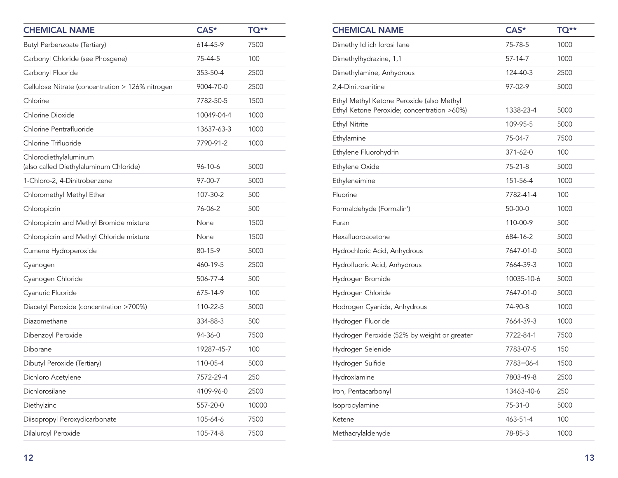| <b>CHEMICAL NAME</b>                                            | CAS*       | TQ**  |
|-----------------------------------------------------------------|------------|-------|
| Butyl Perbenzoate (Tertiary)                                    | 614-45-9   | 7500  |
| Carbonyl Chloride (see Phosgene)                                | 75-44-5    | 100   |
| Carbonyl Fluoride                                               | 353-50-4   | 2500  |
| Cellulose Nitrate (concentration > 126% nitrogen                | 9004-70-0  | 2500  |
| Chlorine                                                        | 7782-50-5  | 1500  |
| Chlorine Dioxide                                                | 10049-04-4 | 1000  |
| Chlorine Pentrafluoride                                         | 13637-63-3 | 1000  |
| Chlorine Trifluoride                                            | 7790-91-2  | 1000  |
| Chlorodiethylaluminum<br>(also called Diethylaluminum Chloride) | 96-10-6    | 5000  |
| 1-Chloro-2, 4-Dinitrobenzene                                    | 97-00-7    | 5000  |
| Chloromethyl Methyl Ether                                       | 107-30-2   | 500   |
| Chloropicrin                                                    | 76-06-2    | 500   |
| Chloropicrin and Methyl Bromide mixture                         | None       | 1500  |
| Chloropicrin and Methyl Chloride mixture                        | None       | 1500  |
| Cumene Hydroperoxide                                            | 80-15-9    | 5000  |
| Cyanogen                                                        | 460-19-5   | 2500  |
| Cyanogen Chloride                                               | 506-77-4   | 500   |
| Cyanuric Fluoride                                               | 675-14-9   | 100   |
| Diacetyl Peroxide (concentration >700%)                         | 110-22-5   | 5000  |
| Diazomethane                                                    | 334-88-3   | 500   |
| Dibenzoyl Peroxide                                              | 94-36-0    | 7500  |
| Diborane                                                        | 19287-45-7 | 100   |
| Dibutyl Peroxide (Tertiary)                                     | 110-05-4   | 5000  |
| Dichloro Acetylene                                              | 7572-29-4  | 250   |
| Dichlorosilane                                                  | 4109-96-0  | 2500  |
| Diethylzinc                                                     | 557-20-0   | 10000 |
| Diisopropyl Peroxydicarbonate                                   | 105-64-6   | 7500  |
| Dilaluroyl Peroxide                                             | 105-74-8   | 7500  |

| <b>CHEMICAL NAME</b>                                                                    | CAS*       | TQ** |
|-----------------------------------------------------------------------------------------|------------|------|
| Dimethy Id ich lorosi lane                                                              | 75-78-5    | 1000 |
| Dimethylhydrazine, 1,1                                                                  | 57-14-7    | 1000 |
| Dimethylamine, Anhydrous                                                                | 124-40-3   | 2500 |
| 2,4-Dinitroanitine                                                                      | 97-02-9    | 5000 |
| Ethyl Methyl Ketone Peroxide (also Methyl<br>Ethyl Ketone Peroxide; concentration >60%) | 1338-23-4  | 5000 |
| <b>Ethyl Nitrite</b>                                                                    | 109-95-5   | 5000 |
| Ethylamine                                                                              | 75-04-7    | 7500 |
| Ethylene Fluorohydrin                                                                   | 371-62-0   | 100  |
| Ethylene Oxide                                                                          | 75-21-8    | 5000 |
| Ethyleneimine                                                                           | 151-56-4   | 1000 |
| Fluorine                                                                                | 7782-41-4  | 100  |
| Formaldehyde (Formalin')                                                                | 50-00-0    | 1000 |
| Furan                                                                                   | 110-00-9   | 500  |
| Hexafluoroacetone                                                                       | 684-16-2   | 5000 |
| Hydrochloric Acid, Anhydrous                                                            | 7647-01-0  | 5000 |
| Hydrofluoric Acid, Anhydrous                                                            | 7664-39-3  | 1000 |
| Hydrogen Bromide                                                                        | 10035-10-6 | 5000 |
| Hydrogen Chloride                                                                       | 7647-01-0  | 5000 |
| Hodrogen Cyanide, Anhydrous                                                             | 74-90-8    | 1000 |
| Hydrogen Fluoride                                                                       | 7664-39-3  | 1000 |
| Hydrogen Peroxide (52% by weight or greater                                             | 7722-84-1  | 7500 |
| Hydrogen Selenide                                                                       | 7783-07-5  | 150  |
| Hydrogen Sulfide                                                                        | 7783=06-4  | 1500 |
| Hydroxlamine                                                                            | 7803-49-8  | 2500 |
| Iron, Pentacarbonyl                                                                     | 13463-40-6 | 250  |
| Isopropylamine                                                                          | 75-31-0    | 5000 |
| Ketene                                                                                  | 463-51-4   | 100  |
| Methacrylaldehyde                                                                       | 78-85-3    | 1000 |
|                                                                                         |            |      |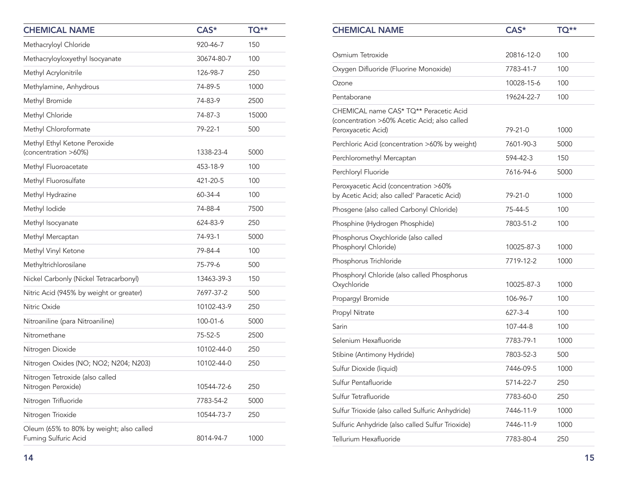| <b>CHEMICAL NAME</b>                                             | CAS*       | TQ**  |
|------------------------------------------------------------------|------------|-------|
| Methacryloyl Chloride                                            | 920-46-7   | 150   |
| Methacryloyloxyethyl Isocyanate                                  | 30674-80-7 | 100   |
| Methyl Acrylonitrile                                             | 126-98-7   | 250   |
| Methylamine, Anhydrous                                           | 74-89-5    | 1000  |
| Methyl Bromide                                                   | 74-83-9    | 2500  |
| Methyl Chloride                                                  | 74-87-3    | 15000 |
| Methyl Chloroformate                                             | 79-22-1    | 500   |
| Methyl Ethyl Ketone Peroxide<br>(concentration >60%)             | 1338-23-4  | 5000  |
| Methyl Fluoroacetate                                             | 453-18-9   | 100   |
| Methyl Fluorosulfate                                             | 421-20-5   | 100   |
| Methyl Hydrazine                                                 | 60-34-4    | 100   |
| Methyl Iodide                                                    | 74-88-4    | 7500  |
| Methyl Isocyanate                                                | 624-83-9   | 250   |
| Methyl Mercaptan                                                 | 74-93-1    | 5000  |
| Methyl Vinyl Ketone                                              | 79-84-4    | 100   |
| Methyltrichlorosilane                                            | 75-79-6    | 500   |
| Nickel Carbonly (Nickel Tetracarbonyl)                           | 13463-39-3 | 150   |
| Nitric Acid (945% by weight or greater)                          | 7697-37-2  | 500   |
| Nitric Oxide                                                     | 10102-43-9 | 250   |
| Nitroaniline (para Nitroaniline)                                 | 100-01-6   | 5000  |
| Nitromethane                                                     | 75-52-5    | 2500  |
| Nitrogen Dioxide                                                 | 10102-44-0 | 250   |
| Nitrogen Oxides (NO; NO2; N204; N203)                            | 10102-44-0 | 250   |
| Nitrogen Tetroxide (also called<br>Nitrogen Peroxide)            | 10544-72-6 | 250   |
| Nitrogen Trifluoride                                             | 7783-54-2  | 5000  |
| Nitrogen Trioxide                                                | 10544-73-7 | 250   |
| Oleum (65% to 80% by weight; also called<br>Fuming Sulfuric Acid | 8014-94-7  | 1000  |

| <b>CHEMICAL NAME</b>                                                                   | CAS*          | <b>TQ**</b> |
|----------------------------------------------------------------------------------------|---------------|-------------|
|                                                                                        |               |             |
| Osmium Tetroxide                                                                       | 20816-12-0    | 100         |
| Oxygen Difluoride (Fluorine Monoxide)                                                  | 7783-41-7     | 100         |
| Ozone                                                                                  | 10028-15-6    | 100         |
| Pentaborane                                                                            | 19624-22-7    | 100         |
| CHEMICAL name CAS* TQ** Peracetic Acid<br>(concentration >60% Acetic Acid; also called |               |             |
| Peroxyacetic Acid)                                                                     | 79-21-0       | 1000        |
| Perchloric Acid (concentration >60% by weight)                                         | 7601-90-3     | 5000        |
| Perchloromethyl Mercaptan                                                              | 594-42-3      | 150         |
| Perchloryl Fluoride                                                                    | 7616-94-6     | 5000        |
| Peroxyacetic Acid (concentration >60%<br>by Acetic Acid; also called' Paracetic Acid)  | 79-21-0       | 1000        |
| Phosgene (also called Carbonyl Chloride)                                               | 75-44-5       | 100         |
| Phosphine (Hydrogen Phosphide)                                                         | 7803-51-2     | 100         |
| Phosphorus Oxychloride (also called<br>Phosphoryl Chloride)                            | 10025-87-3    | 1000        |
| Phosphorus Trichloride                                                                 | 7719-12-2     | 1000        |
| Phosphoryl Chloride (also called Phosphorus<br>Oxychloride                             | 10025-87-3    | 1000        |
| Propargyl Bromide                                                                      | 106-96-7      | 100         |
| Propyl Nitrate                                                                         | $627 - 3 - 4$ | 100         |
| Sarin                                                                                  | 107-44-8      | 100         |
| Selenium Hexafluoride                                                                  | 7783-79-1     | 1000        |
| Stibine (Antimony Hydride)                                                             | 7803-52-3     | 500         |
| Sulfur Dioxide (liquid)                                                                | 7446-09-5     | 1000        |
| Sulfur Pentafluoride                                                                   | 5714-22-7     | 250         |
| Sulfur Tetrafluoride                                                                   | 7783-60-0     | 250         |
| Sulfur Trioxide (also called Sulfuric Anhydride)                                       | 7446-11-9     | 1000        |
| Sulfuric Anhydride (also called Sulfur Trioxide)                                       | 7446-11-9     | 1000        |
| Tellurium Hexafluoride                                                                 | 7783-80-4     | 250         |